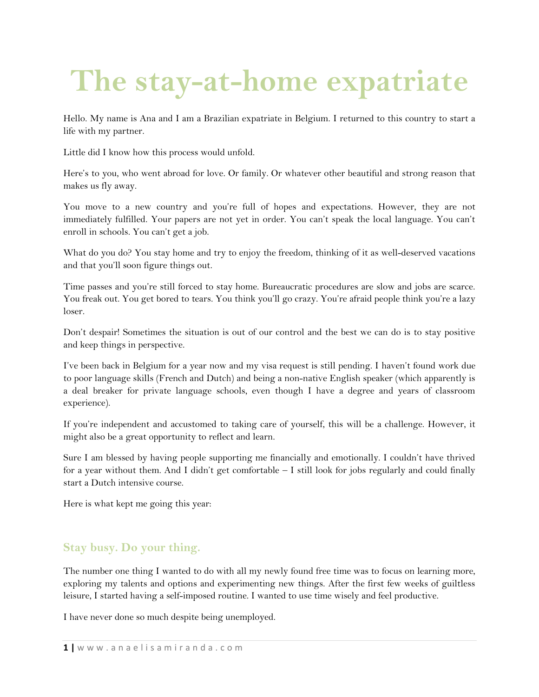# **The stay-at-home expatriate**

Hello. My name is Ana and I am a Brazilian expatriate in Belgium. I returned to this country to start a life with my partner.

Little did I know how this process would unfold.

Here's to you, who went abroad for love. Or family. Or whatever other beautiful and strong reason that makes us fly away.

You move to a new country and you're full of hopes and expectations. However, they are not immediately fulfilled. Your papers are not yet in order. You can't speak the local language. You can't enroll in schools. You can't get a job.

What do you do? You stay home and try to enjoy the freedom, thinking of it as well-deserved vacations and that you'll soon figure things out.

Time passes and you're still forced to stay home. Bureaucratic procedures are slow and jobs are scarce. You freak out. You get bored to tears. You think you'll go crazy. You're afraid people think you're a lazy loser.

Don't despair! Sometimes the situation is out of our control and the best we can do is to stay positive and keep things in perspective.

I've been back in Belgium for a year now and my visa request is still pending. I haven't found work due to poor language skills (French and Dutch) and being a non-native English speaker (which apparently is a deal breaker for private language schools, even though I have a degree and years of classroom experience).

If you're independent and accustomed to taking care of yourself, this will be a challenge. However, it might also be a great opportunity to reflect and learn.

Sure I am blessed by having people supporting me financially and emotionally. I couldn't have thrived for a year without them. And I didn't get comfortable – I still look for jobs regularly and could finally start a Dutch intensive course.

Here is what kept me going this year:

#### **Stay busy. Do your thing.**

The number one thing I wanted to do with all my newly found free time was to focus on learning more, exploring my talents and options and experimenting new things. After the first few weeks of guiltless leisure, I started having a self-imposed routine. I wanted to use time wisely and feel productive.

I have never done so much despite being unemployed.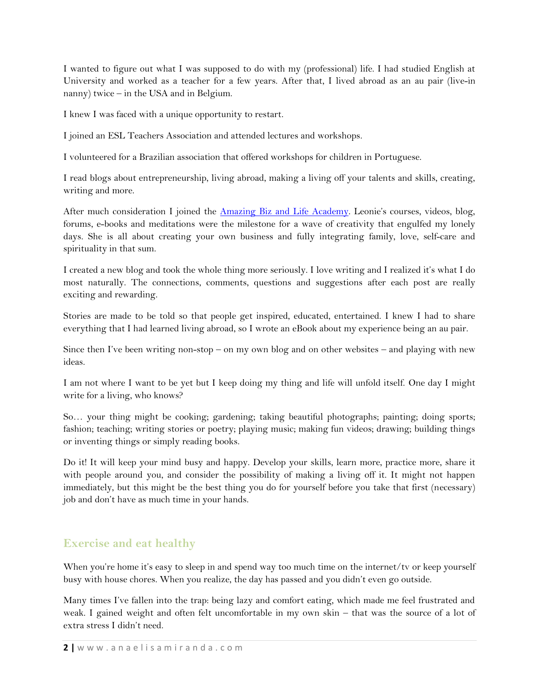I wanted to figure out what I was supposed to do with my (professional) life. I had studied English at University and worked as a teacher for a few years. After that, I lived abroad as an au pair (live-in nanny) twice – in the USA and in Belgium.

I knew I was faced with a unique opportunity to restart.

I joined an ESL Teachers Association and attended lectures and workshops.

I volunteered for a Brazilian association that offered workshops for children in Portuguese.

I read blogs about entrepreneurship, living abroad, making a living off your talents and skills, creating, writing and more.

After much consideration I joined the [Amazing Biz and Life Academy](http://leoniedawson.com/affiliate-redirect/?p=AnaElisaMiranda&w=abla). Leonie's courses, videos, blog, forums, e-books and meditations were the milestone for a wave of creativity that engulfed my lonely days. She is all about creating your own business and fully integrating family, love, self-care and spirituality in that sum.

I created a new blog and took the whole thing more seriously. I love writing and I realized it's what I do most naturally. The connections, comments, questions and suggestions after each post are really exciting and rewarding.

Stories are made to be told so that people get inspired, educated, entertained. I knew I had to share everything that I had learned living abroad, so I wrote an eBook about my experience being an au pair.

Since then I've been writing non-stop – on my own blog and on other websites – and playing with new ideas.

I am not where I want to be yet but I keep doing my thing and life will unfold itself. One day I might write for a living, who knows?

So… your thing might be cooking; gardening; taking beautiful photographs; painting; doing sports; fashion; teaching; writing stories or poetry; playing music; making fun videos; drawing; building things or inventing things or simply reading books.

Do it! It will keep your mind busy and happy. Develop your skills, learn more, practice more, share it with people around you, and consider the possibility of making a living off it. It might not happen immediately, but this might be the best thing you do for yourself before you take that first (necessary) job and don't have as much time in your hands.

#### **Exercise and eat healthy**

When you're home it's easy to sleep in and spend way too much time on the internet/tv or keep yourself busy with house chores. When you realize, the day has passed and you didn't even go outside.

Many times I've fallen into the trap: being lazy and comfort eating, which made me feel frustrated and weak. I gained weight and often felt uncomfortable in my own skin – that was the source of a lot of extra stress I didn't need.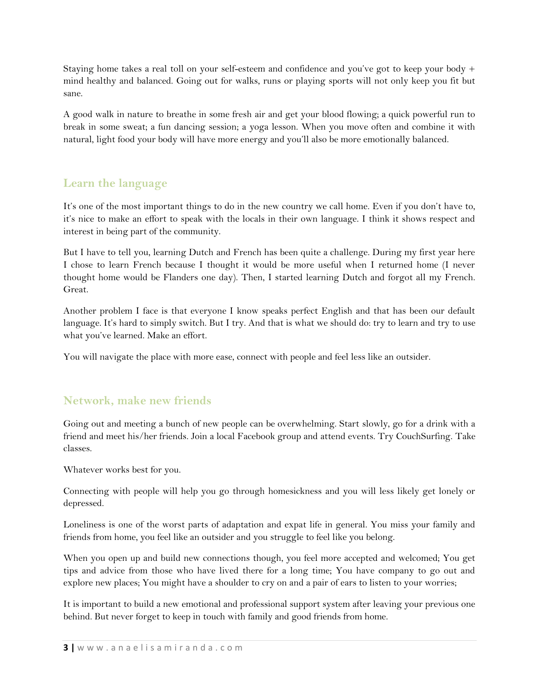Staying home takes a real toll on your self-esteem and confidence and you've got to keep your body + mind healthy and balanced. Going out for walks, runs or playing sports will not only keep you fit but sane.

A good walk in nature to breathe in some fresh air and get your blood flowing; a quick powerful run to break in some sweat; a fun dancing session; a yoga lesson. When you move often and combine it with natural, light food your body will have more energy and you'll also be more emotionally balanced.

## **Learn the language**

It's one of the most important things to do in the new country we call home. Even if you don't have to, it's nice to make an effort to speak with the locals in their own language. I think it shows respect and interest in being part of the community.

But I have to tell you, learning Dutch and French has been quite a challenge. During my first year here I chose to learn French because I thought it would be more useful when I returned home (I never thought home would be Flanders one day). Then, I started learning Dutch and forgot all my French. Great.

Another problem I face is that everyone I know speaks perfect English and that has been our default language. It's hard to simply switch. But I try. And that is what we should do: try to learn and try to use what you've learned. Make an effort.

You will navigate the place with more ease, connect with people and feel less like an outsider.

#### **Network, make new friends**

Going out and meeting a bunch of new people can be overwhelming. Start slowly, go for a drink with a friend and meet his/her friends. Join a local Facebook group and attend events. Try CouchSurfing. Take classes.

Whatever works best for you.

Connecting with people will help you go through homesickness and you will less likely get lonely or depressed.

Loneliness is one of the worst parts of adaptation and expat life in general. You miss your family and friends from home, you feel like an outsider and you struggle to feel like you belong.

When you open up and build new connections though, you feel more accepted and welcomed; You get tips and advice from those who have lived there for a long time; You have company to go out and explore new places; You might have a shoulder to cry on and a pair of ears to listen to your worries;

It is important to build a new emotional and professional support system after leaving your previous one behind. But never forget to keep in touch with family and good friends from home.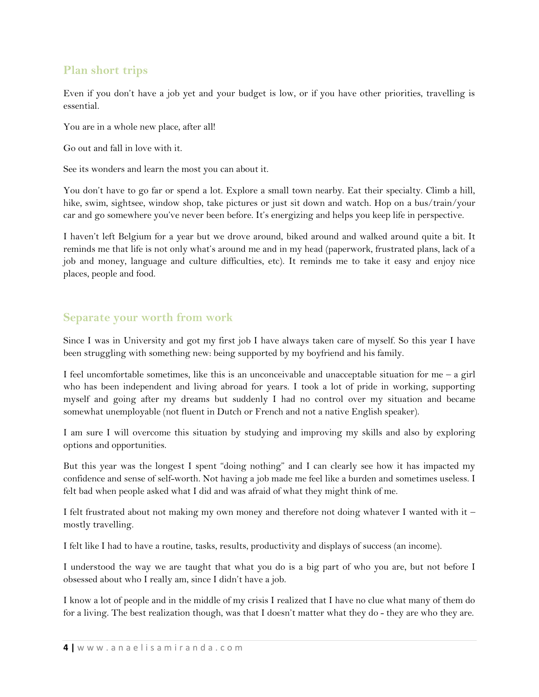#### **Plan short trips**

Even if you don't have a job yet and your budget is low, or if you have other priorities, travelling is essential.

You are in a whole new place, after all!

Go out and fall in love with it.

See its wonders and learn the most you can about it.

You don't have to go far or spend a lot. Explore a small town nearby. Eat their specialty. Climb a hill, hike, swim, sightsee, window shop, take pictures or just sit down and watch. Hop on a bus/train/your car and go somewhere you've never been before. It's energizing and helps you keep life in perspective.

I haven't left Belgium for a year but we drove around, biked around and walked around quite a bit. It reminds me that life is not only what's around me and in my head (paperwork, frustrated plans, lack of a job and money, language and culture difficulties, etc). It reminds me to take it easy and enjoy nice places, people and food.

#### **Separate your worth from work**

Since I was in University and got my first job I have always taken care of myself. So this year I have been struggling with something new: being supported by my boyfriend and his family.

I feel uncomfortable sometimes, like this is an unconceivable and unacceptable situation for me  $-$  a girl who has been independent and living abroad for years. I took a lot of pride in working, supporting myself and going after my dreams but suddenly I had no control over my situation and became somewhat unemployable (not fluent in Dutch or French and not a native English speaker).

I am sure I will overcome this situation by studying and improving my skills and also by exploring options and opportunities.

But this year was the longest I spent "doing nothing" and I can clearly see how it has impacted my confidence and sense of self-worth. Not having a job made me feel like a burden and sometimes useless. I felt bad when people asked what I did and was afraid of what they might think of me.

I felt frustrated about not making my own money and therefore not doing whatever I wanted with it – mostly travelling.

I felt like I had to have a routine, tasks, results, productivity and displays of success (an income).

I understood the way we are taught that what you do is a big part of who you are, but not before I obsessed about who I really am, since I didn't have a job.

I know a lot of people and in the middle of my crisis I realized that I have no clue what many of them do for a living. The best realization though, was that I doesn't matter what they do - they are who they are.